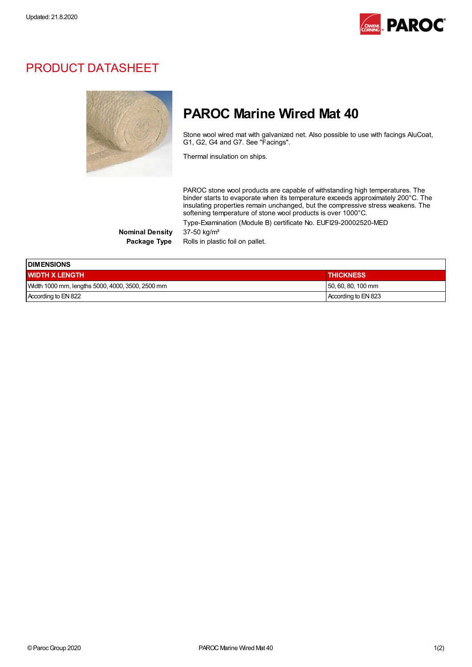

## PRODUCT DATASHEET



## PAROC Marine Wired Mat 40

Stone wool wired mat with galvanized net. Also possible to use with facings AluCoat, G1, G2, G4 and G7. See "Facings".

Thermal insulation on ships.

PAROC stone wool products are capable of withstanding high temperatures. The binder starts to evaporate when its temperature exceeds approximately 200°C. The insulating properties remain unchanged, but the compressive stress weakens. The softening temperature of stone wool products is over 1000°C.

Type-Examination (Module B) certificate No. EUFI29-20002520-MED

**Nominal Density** Package Type

|  | Rolls in plastic foil on pallet. |  |  |
|--|----------------------------------|--|--|
|  |                                  |  |  |

| <b>IDIMENSIONS</b>                               |                     |  |  |  |
|--------------------------------------------------|---------------------|--|--|--|
| <b>WIDTH X LENGTH</b>                            | <b>THICKNESS</b>    |  |  |  |
| Width 1000 mm, lengths 5000, 4000, 3500, 2500 mm | 50, 60, 80, 100 mm  |  |  |  |
| According to EN 822                              | According to EN 823 |  |  |  |